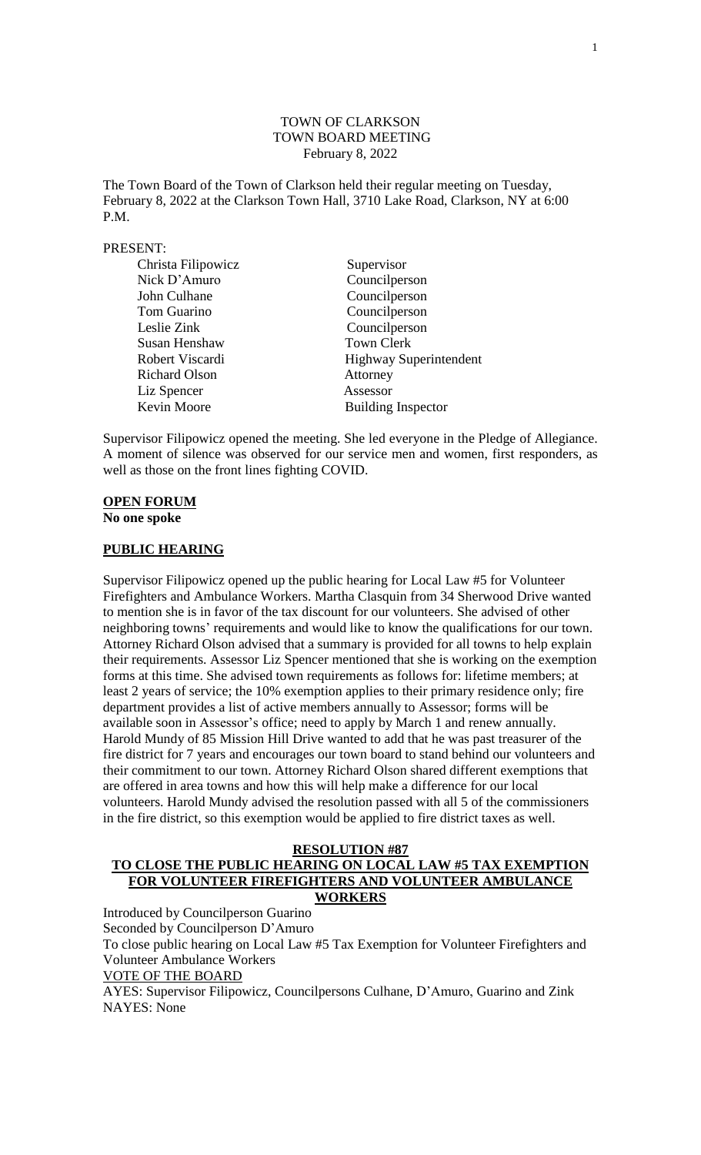### TOWN OF CLARKSON TOWN BOARD MEETING February 8, 2022

The Town Board of the Town of Clarkson held their regular meeting on Tuesday, February 8, 2022 at the Clarkson Town Hall, 3710 Lake Road, Clarkson, NY at 6:00 P.M.

#### PRESENT:

| Christa Filipowicz   | Supervisor                    |
|----------------------|-------------------------------|
| Nick D'Amuro         | Councilperson                 |
| John Culhane         | Councilperson                 |
| Tom Guarino          | Councilperson                 |
| Leslie Zink          | Councilperson                 |
| Susan Henshaw        | <b>Town Clerk</b>             |
| Robert Viscardi      | <b>Highway Superintendent</b> |
| <b>Richard Olson</b> | Attorney                      |
| Liz Spencer          | Assessor                      |
| Kevin Moore          | <b>Building Inspector</b>     |

Supervisor Filipowicz opened the meeting. She led everyone in the Pledge of Allegiance. A moment of silence was observed for our service men and women, first responders, as well as those on the front lines fighting COVID.

# **OPEN FORUM**

**No one spoke**

### **PUBLIC HEARING**

Supervisor Filipowicz opened up the public hearing for Local Law #5 for Volunteer Firefighters and Ambulance Workers. Martha Clasquin from 34 Sherwood Drive wanted to mention she is in favor of the tax discount for our volunteers. She advised of other neighboring towns' requirements and would like to know the qualifications for our town. Attorney Richard Olson advised that a summary is provided for all towns to help explain their requirements. Assessor Liz Spencer mentioned that she is working on the exemption forms at this time. She advised town requirements as follows for: lifetime members; at least 2 years of service; the 10% exemption applies to their primary residence only; fire department provides a list of active members annually to Assessor; forms will be available soon in Assessor's office; need to apply by March 1 and renew annually. Harold Mundy of 85 Mission Hill Drive wanted to add that he was past treasurer of the fire district for 7 years and encourages our town board to stand behind our volunteers and their commitment to our town. Attorney Richard Olson shared different exemptions that are offered in area towns and how this will help make a difference for our local volunteers. Harold Mundy advised the resolution passed with all 5 of the commissioners in the fire district, so this exemption would be applied to fire district taxes as well.

#### **RESOLUTION #87**

# **TO CLOSE THE PUBLIC HEARING ON LOCAL LAW #5 TAX EXEMPTION FOR VOLUNTEER FIREFIGHTERS AND VOLUNTEER AMBULANCE WORKERS**

Introduced by Councilperson Guarino Seconded by Councilperson D'Amuro To close public hearing on Local Law #5 Tax Exemption for Volunteer Firefighters and Volunteer Ambulance Workers VOTE OF THE BOARD AYES: Supervisor Filipowicz, Councilpersons Culhane, D'Amuro, Guarino and Zink NAYES: None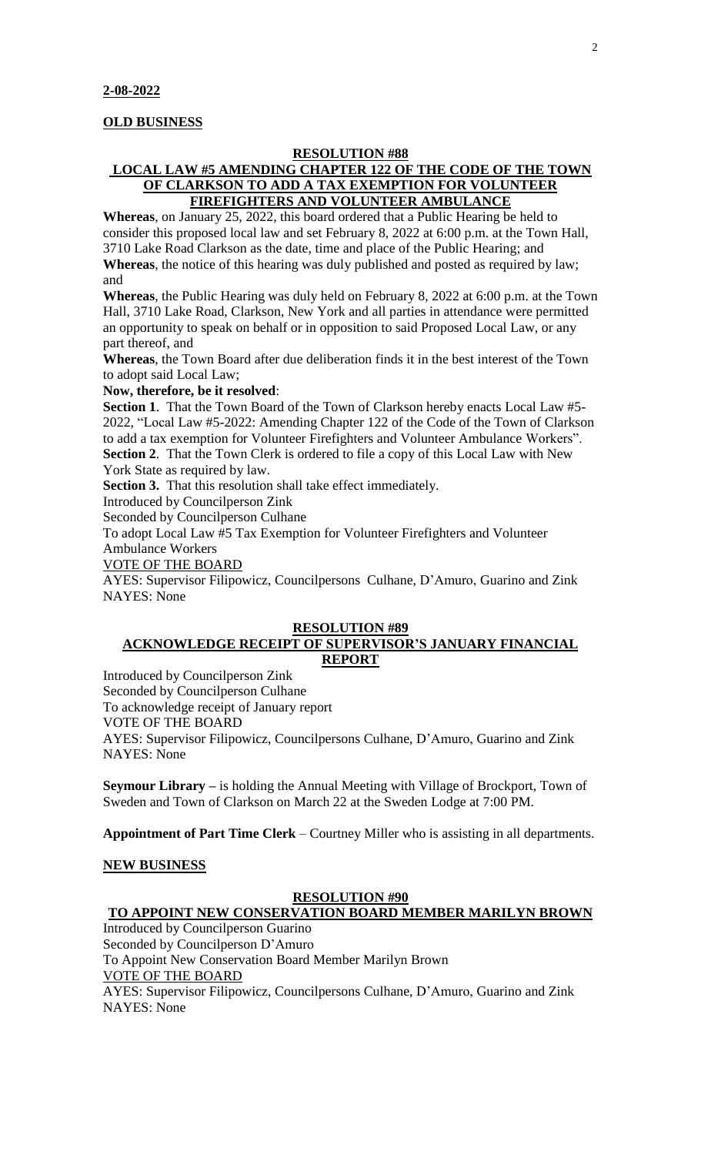### **OLD BUSINESS**

#### **RESOLUTION #88**

# **LOCAL LAW #5 AMENDING CHAPTER 122 OF THE CODE OF THE TOWN OF CLARKSON TO ADD A TAX EXEMPTION FOR VOLUNTEER FIREFIGHTERS AND VOLUNTEER AMBULANCE**

**Whereas**, on January 25, 2022, this board ordered that a Public Hearing be held to consider this proposed local law and set February 8, 2022 at 6:00 p.m. at the Town Hall, 3710 Lake Road Clarkson as the date, time and place of the Public Hearing; and **Whereas**, the notice of this hearing was duly published and posted as required by law; and

**Whereas**, the Public Hearing was duly held on February 8, 2022 at 6:00 p.m. at the Town Hall, 3710 Lake Road, Clarkson, New York and all parties in attendance were permitted an opportunity to speak on behalf or in opposition to said Proposed Local Law, or any part thereof, and

**Whereas**, the Town Board after due deliberation finds it in the best interest of the Town to adopt said Local Law;

#### **Now, therefore, be it resolved**:

**Section 1**. That the Town Board of the Town of Clarkson hereby enacts Local Law #5- 2022, "Local Law #5-2022: Amending Chapter 122 of the Code of the Town of Clarkson to add a tax exemption for Volunteer Firefighters and Volunteer Ambulance Workers". **Section 2**. That the Town Clerk is ordered to file a copy of this Local Law with New York State as required by law.

**Section 3.** That this resolution shall take effect immediately.

Introduced by Councilperson Zink

Seconded by Councilperson Culhane

To adopt Local Law #5 Tax Exemption for Volunteer Firefighters and Volunteer Ambulance Workers

#### VOTE OF THE BOARD

AYES: Supervisor Filipowicz, Councilpersons Culhane, D'Amuro, Guarino and Zink NAYES: None

### **RESOLUTION #89**

## **ACKNOWLEDGE RECEIPT OF SUPERVISOR'S JANUARY FINANCIAL REPORT**

Introduced by Councilperson Zink

Seconded by Councilperson Culhane

To acknowledge receipt of January report

VOTE OF THE BOARD

AYES: Supervisor Filipowicz, Councilpersons Culhane, D'Amuro, Guarino and Zink NAYES: None

**Seymour Library –** is holding the Annual Meeting with Village of Brockport, Town of Sweden and Town of Clarkson on March 22 at the Sweden Lodge at 7:00 PM.

**Appointment of Part Time Clerk** – Courtney Miller who is assisting in all departments.

#### **NEW BUSINESS**

### **RESOLUTION #90**

# **TO APPOINT NEW CONSERVATION BOARD MEMBER MARILYN BROWN**

Introduced by Councilperson Guarino Seconded by Councilperson D'Amuro

To Appoint New Conservation Board Member Marilyn Brown

# VOTE OF THE BOARD

AYES: Supervisor Filipowicz, Councilpersons Culhane, D'Amuro, Guarino and Zink NAYES: None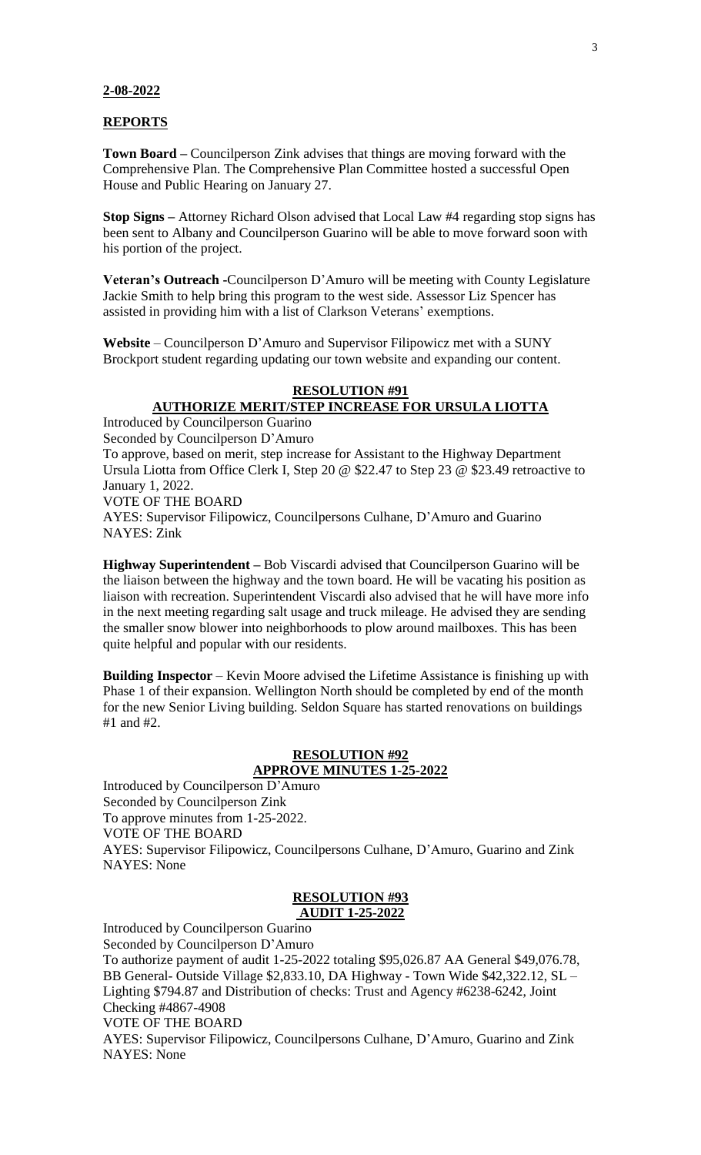#### **2-08-2022**

#### **REPORTS**

**Town Board –** Councilperson Zink advises that things are moving forward with the Comprehensive Plan. The Comprehensive Plan Committee hosted a successful Open House and Public Hearing on January 27.

**Stop Signs –** Attorney Richard Olson advised that Local Law #4 regarding stop signs has been sent to Albany and Councilperson Guarino will be able to move forward soon with his portion of the project.

**Veteran's Outreach -**Councilperson D'Amuro will be meeting with County Legislature Jackie Smith to help bring this program to the west side. Assessor Liz Spencer has assisted in providing him with a list of Clarkson Veterans' exemptions.

**Website** – Councilperson D'Amuro and Supervisor Filipowicz met with a SUNY Brockport student regarding updating our town website and expanding our content.

### **RESOLUTION #91**

**AUTHORIZE MERIT/STEP INCREASE FOR URSULA LIOTTA** Introduced by Councilperson Guarino Seconded by Councilperson D'Amuro To approve, based on merit, step increase for Assistant to the Highway Department Ursula Liotta from Office Clerk I, Step 20 @ \$22.47 to Step 23 @ \$23.49 retroactive to January 1, 2022. VOTE OF THE BOARD AYES: Supervisor Filipowicz, Councilpersons Culhane, D'Amuro and Guarino NAYES: Zink

**Highway Superintendent –** Bob Viscardi advised that Councilperson Guarino will be the liaison between the highway and the town board. He will be vacating his position as liaison with recreation. Superintendent Viscardi also advised that he will have more info in the next meeting regarding salt usage and truck mileage. He advised they are sending the smaller snow blower into neighborhoods to plow around mailboxes. This has been quite helpful and popular with our residents.

**Building Inspector** – Kevin Moore advised the Lifetime Assistance is finishing up with Phase 1 of their expansion. Wellington North should be completed by end of the month for the new Senior Living building. Seldon Square has started renovations on buildings #1 and #2.

# **RESOLUTION #92**

# **APPROVE MINUTES 1-25-2022**

Introduced by Councilperson D'Amuro Seconded by Councilperson Zink To approve minutes from 1-25-2022. VOTE OF THE BOARD AYES: Supervisor Filipowicz, Councilpersons Culhane, D'Amuro, Guarino and Zink NAYES: None

#### **RESOLUTION #93 AUDIT 1-25-2022**

Introduced by Councilperson Guarino Seconded by Councilperson D'Amuro To authorize payment of audit 1-25-2022 totaling \$95,026.87 AA General \$49,076.78, BB General- Outside Village \$2,833.10, DA Highway - Town Wide \$42,322.12, SL – Lighting \$794.87 and Distribution of checks: Trust and Agency #6238-6242, Joint Checking #4867-4908 VOTE OF THE BOARD AYES: Supervisor Filipowicz, Councilpersons Culhane, D'Amuro, Guarino and Zink NAYES: None